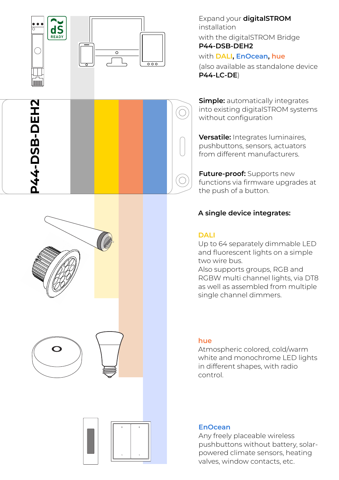

**P44-DSB-DEH2**

**P44-DSB-DEH2** 



Expand your **digitalSTROM** installation with the digitalSTROM Bridge

**P44-DSB-DEH2**

## with **DALI, EnOcean, hue**

(also available as standalone device **P44-LC-DE** )

**Simple:** automatically integrates into existing digitalSTROM systems without con figuration

**Versatile:** Integrates luminaires, pushbuttons, sensors, actuators from different manufacturers.

**Future-proof:** Supports new functions via firmware upgrades at the push of a button.

## **A single device integrates:**

#### **DALI**

Up to 64 separately dimmable LED and fluorescent lights on a simple two wire bus.

Also supports groups, RGB and RGBW multi channel lights, via DT8 as well as assembled from multiple single channel dimmers.

#### **hue**

Atmospheric colored, cold/warm white and monochrome LED lights in different shapes, with radio control.

#### **EnOcean**

Any freely placeable wireless pushbuttons without battery, solarpowered climate sensors, heating valves, window contacts, etc.